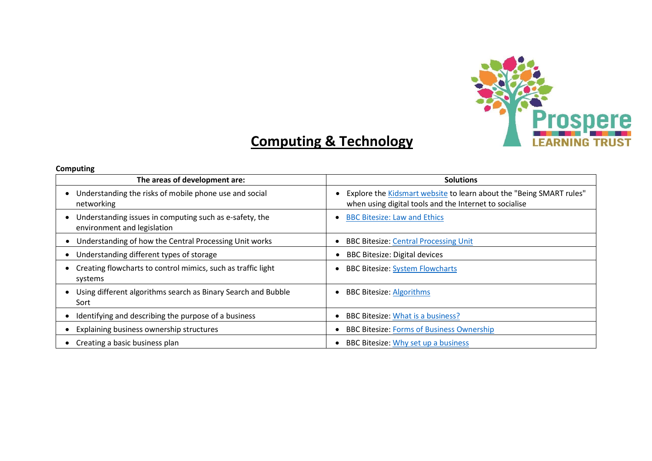

## **Computing & Technology**

## **Computing**

| The areas of development are:                                                          | <b>Solutions</b>                                                                                                              |
|----------------------------------------------------------------------------------------|-------------------------------------------------------------------------------------------------------------------------------|
| Understanding the risks of mobile phone use and social<br>networking                   | Explore the Kidsmart website to learn about the "Being SMART rules"<br>when using digital tools and the Internet to socialise |
| Understanding issues in computing such as e-safety, the<br>environment and legislation | <b>BBC Bitesize: Law and Ethics</b>                                                                                           |
| Understanding of how the Central Processing Unit works                                 | <b>BBC Bitesize: Central Processing Unit</b>                                                                                  |
| Understanding different types of storage                                               | <b>BBC Bitesize: Digital devices</b>                                                                                          |
| Creating flowcharts to control mimics, such as traffic light<br>systems                | <b>BBC Bitesize: System Flowcharts</b>                                                                                        |
| Using different algorithms search as Binary Search and Bubble<br>Sort                  | <b>BBC Bitesize: Algorithms</b>                                                                                               |
| Identifying and describing the purpose of a business                                   | BBC Bitesize: What is a business?                                                                                             |
| Explaining business ownership structures                                               | <b>BBC Bitesize: Forms of Business Ownership</b>                                                                              |
| Creating a basic business plan<br>٠                                                    | BBC Bitesize: Why set up a business                                                                                           |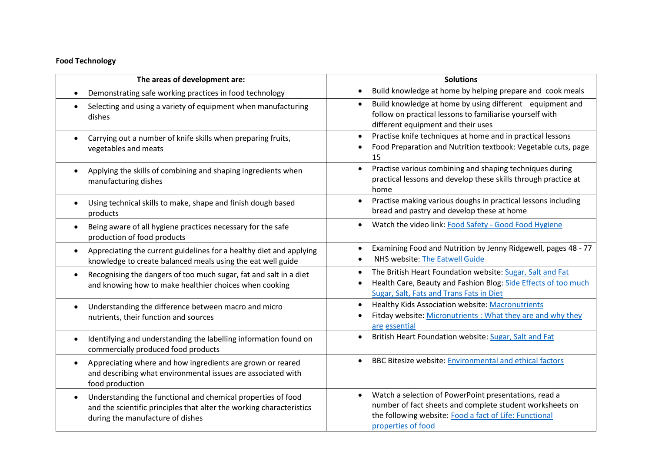## **Food Technology**

| The areas of development are:                                                                                                                                                         | <b>Solutions</b>                                                                                                                                                                                  |
|---------------------------------------------------------------------------------------------------------------------------------------------------------------------------------------|---------------------------------------------------------------------------------------------------------------------------------------------------------------------------------------------------|
| Demonstrating safe working practices in food technology                                                                                                                               | Build knowledge at home by helping prepare and cook meals                                                                                                                                         |
| Selecting and using a variety of equipment when manufacturing<br>dishes                                                                                                               | Build knowledge at home by using different equipment and<br>follow on practical lessons to familiarise yourself with<br>different equipment and their uses                                        |
| Carrying out a number of knife skills when preparing fruits,<br>vegetables and meats                                                                                                  | Practise knife techniques at home and in practical lessons<br>$\bullet$<br>Food Preparation and Nutrition textbook: Vegetable cuts, page<br>15                                                    |
| Applying the skills of combining and shaping ingredients when<br>manufacturing dishes                                                                                                 | Practise various combining and shaping techniques during<br>$\bullet$<br>practical lessons and develop these skills through practice at<br>home                                                   |
| Using technical skills to make, shape and finish dough based<br>products                                                                                                              | Practise making various doughs in practical lessons including<br>$\bullet$<br>bread and pastry and develop these at home                                                                          |
| Being aware of all hygiene practices necessary for the safe<br>production of food products                                                                                            | Watch the video link: Food Safety - Good Food Hygiene                                                                                                                                             |
| Appreciating the current guidelines for a healthy diet and applying<br>$\bullet$<br>knowledge to create balanced meals using the eat well guide                                       | Examining Food and Nutrition by Jenny Ridgewell, pages 48 - 77<br>NHS website: The Eatwell Guide                                                                                                  |
| Recognising the dangers of too much sugar, fat and salt in a diet<br>$\bullet$<br>and knowing how to make healthier choices when cooking                                              | The British Heart Foundation website: Sugar, Salt and Fat<br>Health Care, Beauty and Fashion Blog: Side Effects of too much<br>$\bullet$<br>Sugar, Salt, Fats and Trans Fats in Diet              |
| Understanding the difference between macro and micro<br>$\bullet$<br>nutrients, their function and sources                                                                            | Healthy Kids Association website: Macronutrients<br>$\bullet$<br>Fitday website: Micronutrients: What they are and why they<br>are essential                                                      |
| Identifying and understanding the labelling information found on<br>commercially produced food products                                                                               | British Heart Foundation website: Sugar, Salt and Fat                                                                                                                                             |
| Appreciating where and how ingredients are grown or reared<br>and describing what environmental issues are associated with<br>food production                                         | <b>BBC Bitesize website: Environmental and ethical factors</b>                                                                                                                                    |
| Understanding the functional and chemical properties of food<br>$\bullet$<br>and the scientific principles that alter the working characteristics<br>during the manufacture of dishes | Watch a selection of PowerPoint presentations, read a<br>number of fact sheets and complete student worksheets on<br>the following website: Food a fact of Life: Functional<br>properties of food |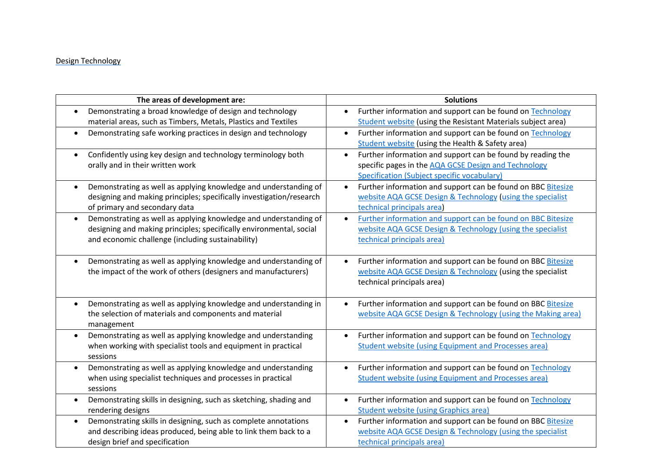## Design Technology

| The areas of development are:                                                                                                           | <b>Solutions</b>                                                                                                                          |
|-----------------------------------------------------------------------------------------------------------------------------------------|-------------------------------------------------------------------------------------------------------------------------------------------|
| Demonstrating a broad knowledge of design and technology                                                                                | Further information and support can be found on Technology<br>$\bullet$                                                                   |
| material areas, such as Timbers, Metals, Plastics and Textiles                                                                          | <b>Student website (using the Resistant Materials subject area)</b>                                                                       |
| Demonstrating safe working practices in design and technology<br>٠                                                                      | Further information and support can be found on Technology<br>$\bullet$                                                                   |
|                                                                                                                                         | <b>Student website (using the Health &amp; Safety area)</b>                                                                               |
| Confidently using key design and technology terminology both<br>$\bullet$                                                               | Further information and support can be found by reading the<br>$\bullet$                                                                  |
| orally and in their written work                                                                                                        | specific pages in the AQA GCSE Design and Technology                                                                                      |
|                                                                                                                                         | Specification (Subject specific vocabulary)                                                                                               |
| Demonstrating as well as applying knowledge and understanding of<br>$\bullet$                                                           | Further information and support can be found on BBC Bitesize<br>$\bullet$                                                                 |
| designing and making principles; specifically investigation/research                                                                    | website AQA GCSE Design & Technology (using the specialist                                                                                |
| of primary and secondary data                                                                                                           | technical principals area)                                                                                                                |
| Demonstrating as well as applying knowledge and understanding of<br>$\bullet$                                                           | Further information and support can be found on BBC Bitesize<br>$\bullet$                                                                 |
| designing and making principles; specifically environmental, social                                                                     | website AQA GCSE Design & Technology (using the specialist                                                                                |
| and economic challenge (including sustainability)                                                                                       | technical principals area)                                                                                                                |
|                                                                                                                                         |                                                                                                                                           |
| Demonstrating as well as applying knowledge and understanding of<br>$\bullet$                                                           | Further information and support can be found on BBC Bitesize<br>$\bullet$                                                                 |
| the impact of the work of others (designers and manufacturers)                                                                          | website AQA GCSE Design & Technology (using the specialist                                                                                |
|                                                                                                                                         | technical principals area)                                                                                                                |
|                                                                                                                                         |                                                                                                                                           |
| Demonstrating as well as applying knowledge and understanding in<br>$\bullet$<br>the selection of materials and components and material | Further information and support can be found on BBC Bitesize<br>$\bullet$<br>website AQA GCSE Design & Technology (using the Making area) |
|                                                                                                                                         |                                                                                                                                           |
| management<br>Demonstrating as well as applying knowledge and understanding<br>$\bullet$                                                | Further information and support can be found on Technology<br>$\bullet$                                                                   |
| when working with specialist tools and equipment in practical                                                                           | <b>Student website (using Equipment and Processes area)</b>                                                                               |
| sessions                                                                                                                                |                                                                                                                                           |
| Demonstrating as well as applying knowledge and understanding<br>$\bullet$                                                              | Further information and support can be found on Technology                                                                                |
| when using specialist techniques and processes in practical                                                                             | <b>Student website (using Equipment and Processes area)</b>                                                                               |
| sessions                                                                                                                                |                                                                                                                                           |
| Demonstrating skills in designing, such as sketching, shading and<br>$\bullet$                                                          | Further information and support can be found on Technology<br>$\bullet$                                                                   |
| rendering designs                                                                                                                       | <b>Student website (using Graphics area)</b>                                                                                              |
| Demonstrating skills in designing, such as complete annotations<br>$\bullet$                                                            | Further information and support can be found on BBC Bitesize<br>$\bullet$                                                                 |
| and describing ideas produced, being able to link them back to a                                                                        | website AQA GCSE Design & Technology (using the specialist                                                                                |
| design brief and specification                                                                                                          | technical principals area)                                                                                                                |